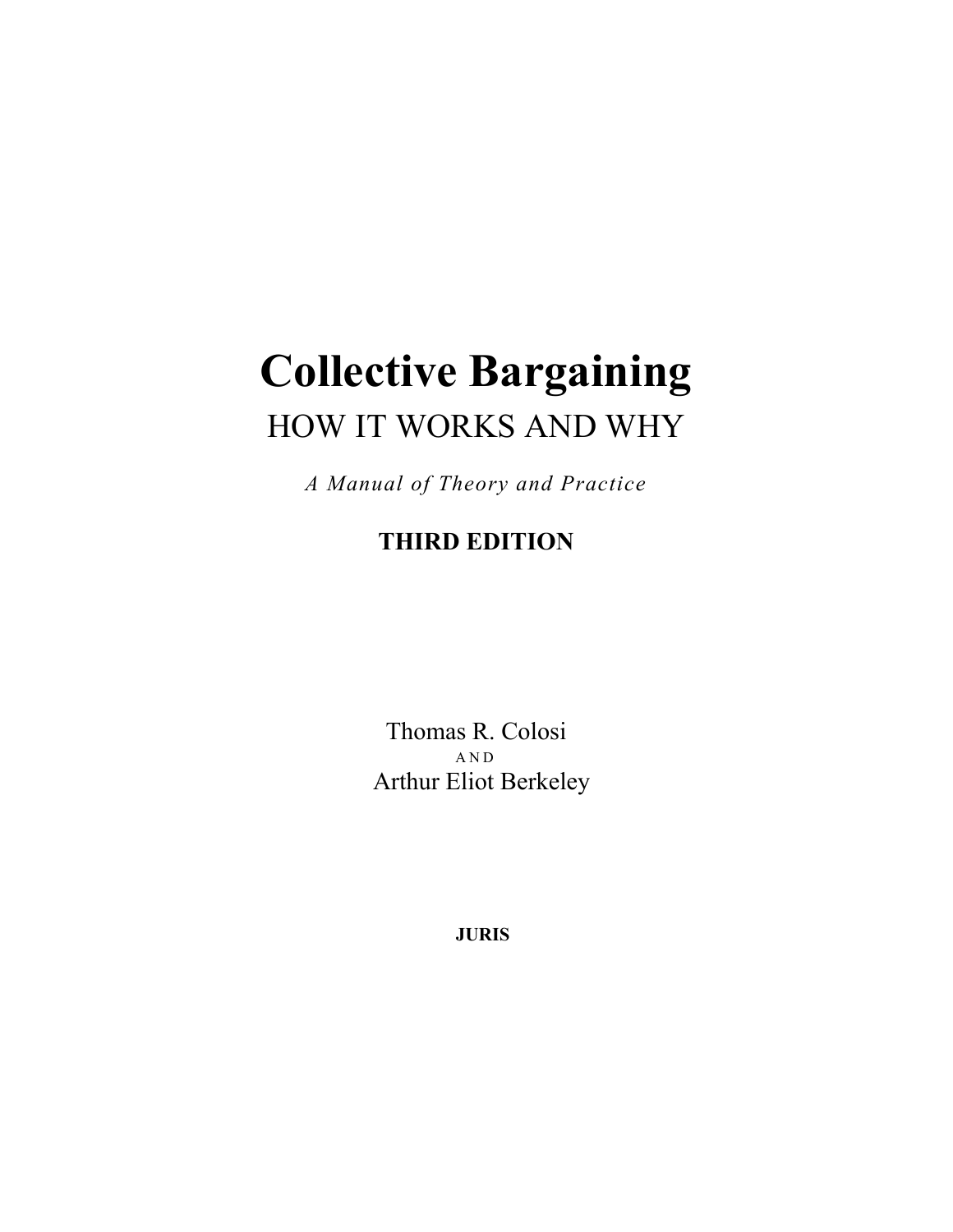# **Collective Bargaining**  HOW IT WORKS AND WHY

*A Manual of Theory and Practice* 

## **THIRD EDITION**

Thomas R. Colosi AND Arthur Eliot Berkeley

**JURIS**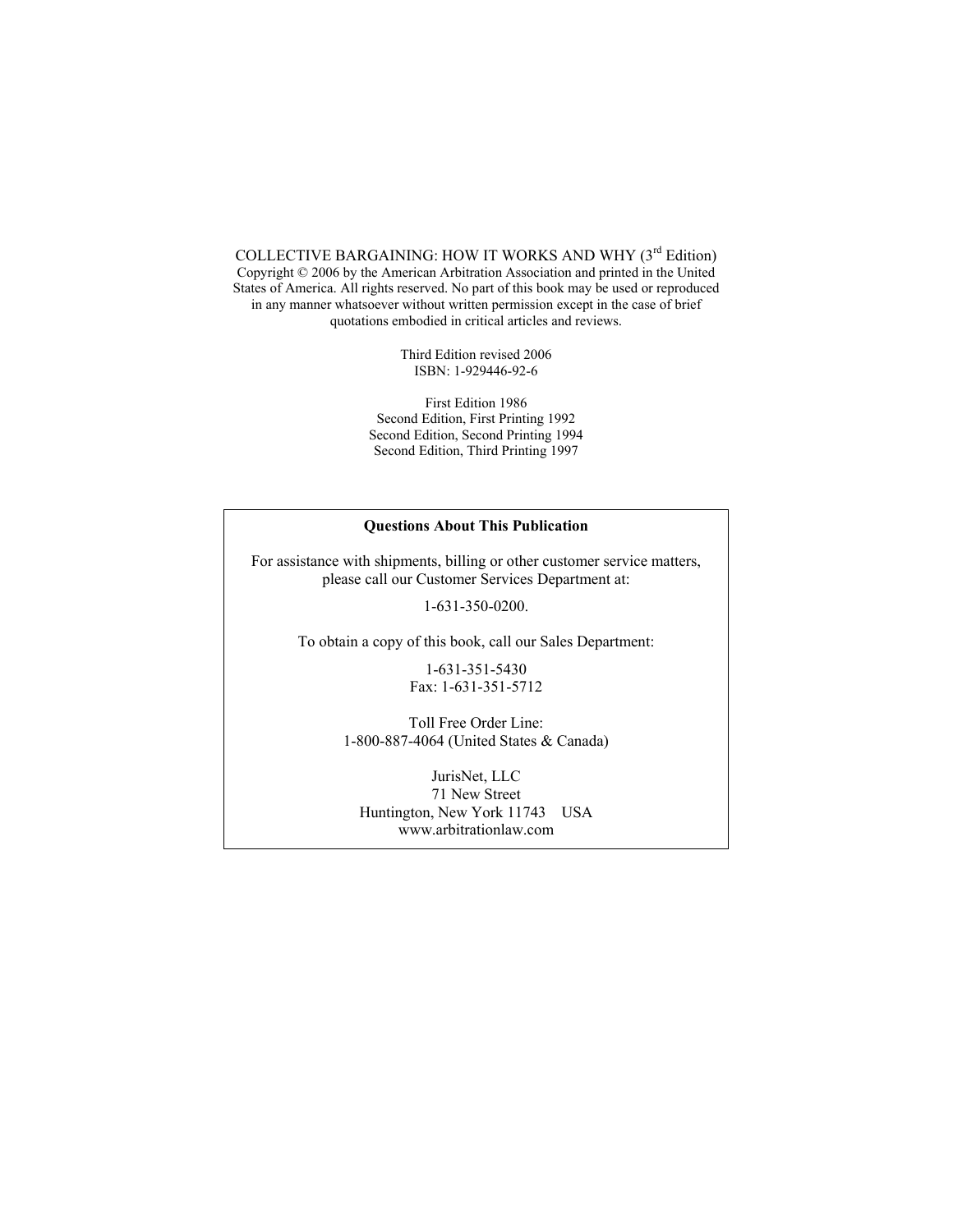COLLECTIVE BARGAINING: HOW IT WORKS AND WHY ( $3<sup>rd</sup>$  Edition) Copyright © 2006 by the American Arbitration Association and printed in the United States of America. All rights reserved. No part of this book may be used or reproduced in any manner whatsoever without written permission except in the case of brief quotations embodied in critical articles and reviews.

> Third Edition revised 2006 ISBN: 1-929446-92-6

First Edition 1986 Second Edition, First Printing 1992 Second Edition, Second Printing 1994 Second Edition, Third Printing 1997

#### **Questions About This Publication**

For assistance with shipments, billing or other customer service matters, please call our Customer Services Department at:

1-631-350-0200.

To obtain a copy of this book, call our Sales Department:

1-631-351-5430 Fax: 1-631-351-5712

Toll Free Order Line: 1-800-887-4064 (United States & Canada)

JurisNet, LLC 71 New Street Huntington, New York 11743 USA www.arbitrationlaw.com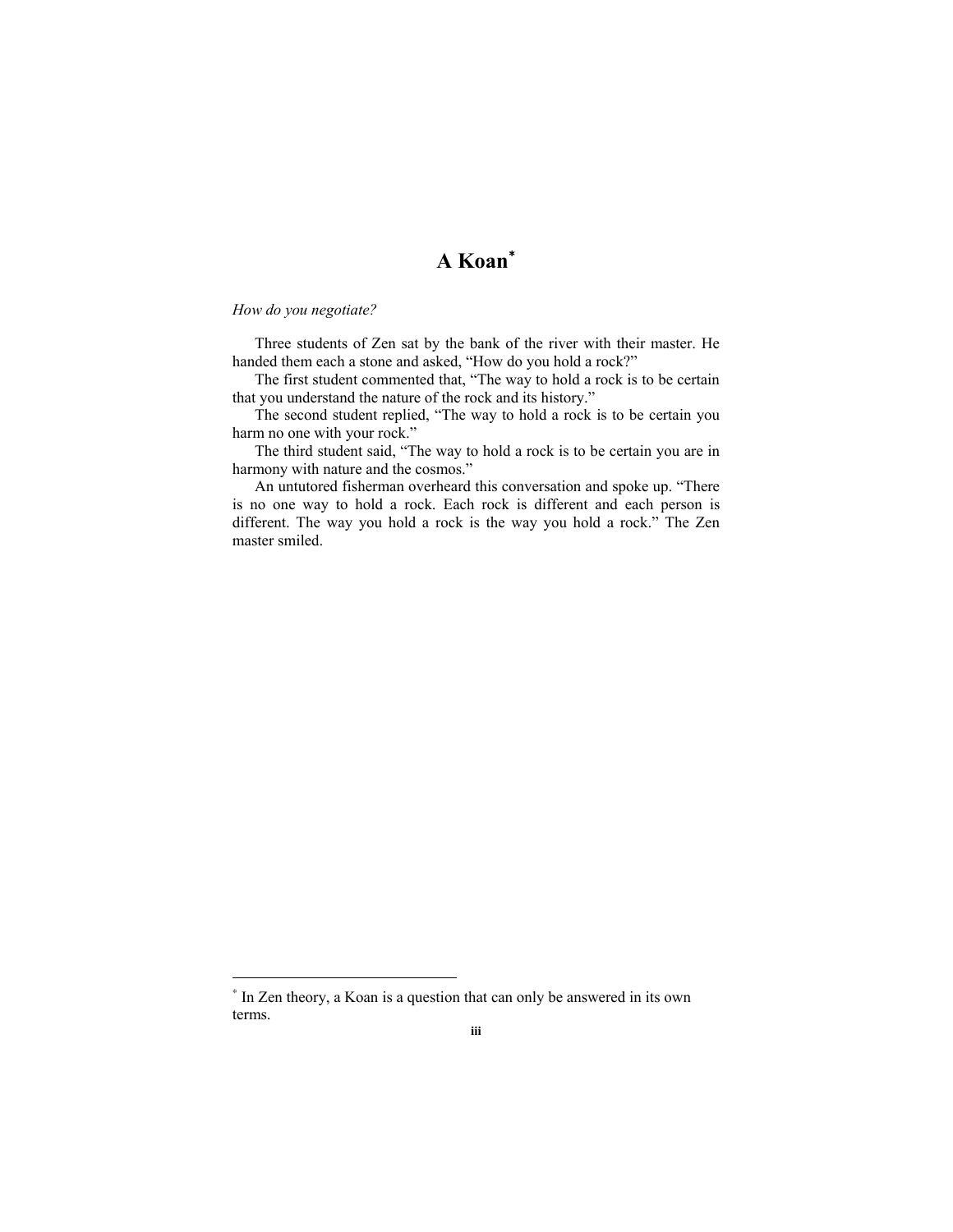### **A Koan**<sup>∗</sup>

#### *How do you negotiate?*

 $\overline{a}$ 

Three students of Zen sat by the bank of the river with their master. He handed them each a stone and asked, "How do you hold a rock?"

The first student commented that, "The way to hold a rock is to be certain that you understand the nature of the rock and its history."

The second student replied, "The way to hold a rock is to be certain you harm no one with your rock."

The third student said, "The way to hold a rock is to be certain you are in harmony with nature and the cosmos."

An untutored fisherman overheard this conversation and spoke up. "There is no one way to hold a rock. Each rock is different and each person is different. The way you hold a rock is the way you hold a rock." The Zen master smiled.

<sup>∗</sup> In Zen theory, a Koan is a question that can only be answered in its own terms.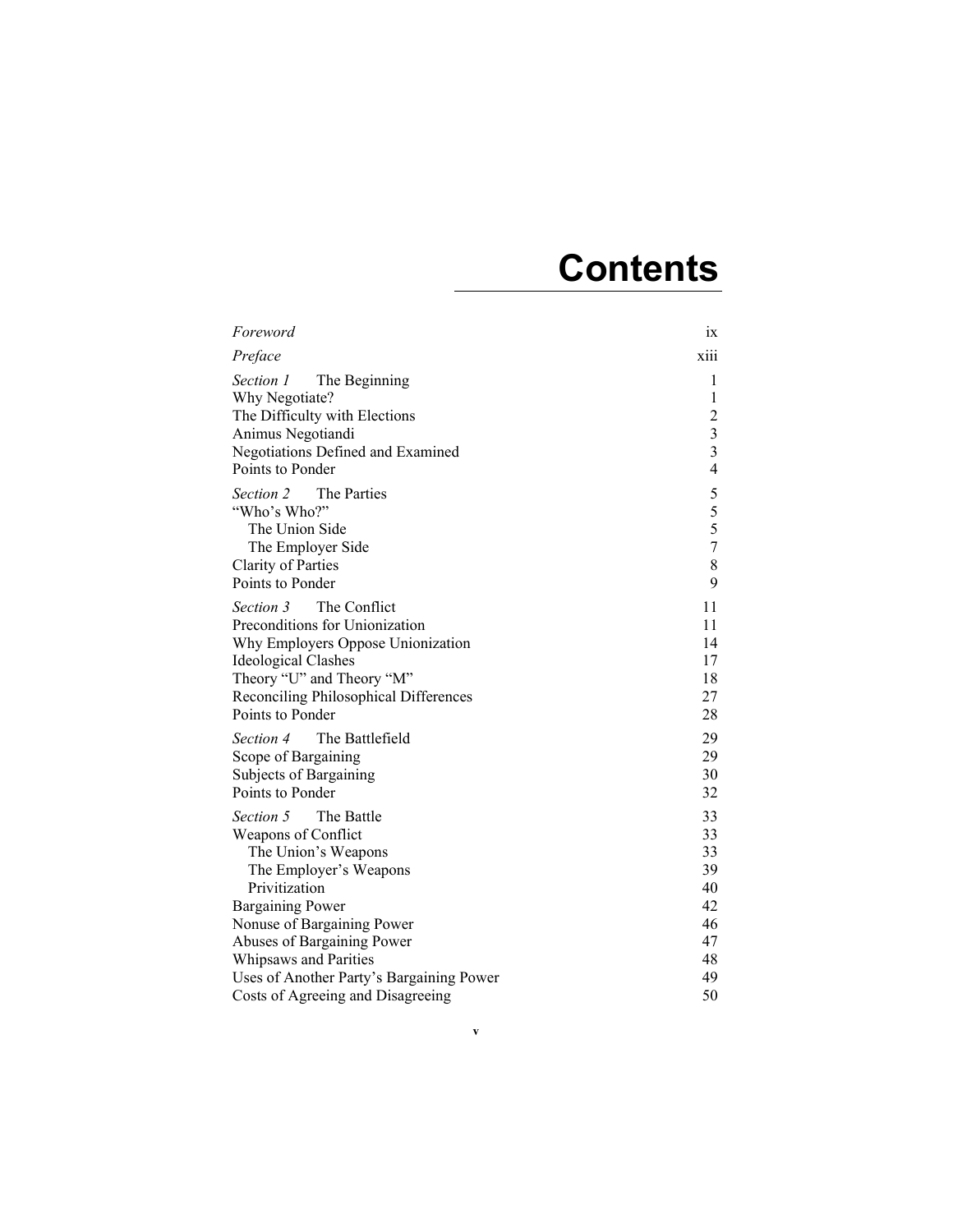## **Contents**

| Foreword                                                                                                                                                                                                                        | 1X                                                                                               |
|---------------------------------------------------------------------------------------------------------------------------------------------------------------------------------------------------------------------------------|--------------------------------------------------------------------------------------------------|
| Preface                                                                                                                                                                                                                         | <b>X111</b>                                                                                      |
| Section 1<br>The Beginning<br>Why Negotiate?<br>The Difficulty with Elections<br>Animus Negotiandi<br>Negotiations Defined and Examined<br>Points to Ponder                                                                     | 1<br>1<br>$\overline{2}$<br>$\overline{\mathbf{3}}$<br>$\overline{\mathbf{3}}$<br>$\overline{4}$ |
| The Parties<br>Section 2<br>"Who's Who?"<br>The Union Side<br>The Employer Side<br><b>Clarity of Parties</b><br>Points to Ponder                                                                                                | 5<br>5<br>5<br>$\overline{7}$<br>8<br>9                                                          |
| The Conflict<br><i>Section 3</i><br>Preconditions for Unionization<br>Why Employers Oppose Unionization<br><b>Ideological Clashes</b><br>Theory "U" and Theory "M"<br>Reconciling Philosophical Differences<br>Points to Ponder | 11<br>11<br>14<br>17<br>18<br>27<br>28                                                           |
| The Battlefield<br><i>Section 4</i><br>Scope of Bargaining<br>Subjects of Bargaining<br>Points to Ponder                                                                                                                        | 29<br>29<br>30<br>32                                                                             |
| Section 5<br>The Battle<br>Weapons of Conflict<br>The Union's Weapons<br>The Employer's Weapons<br>Privitization                                                                                                                | 33<br>33<br>33<br>39<br>40                                                                       |
| <b>Bargaining Power</b><br>Nonuse of Bargaining Power<br>Abuses of Bargaining Power<br>Whipsaws and Parities<br>Uses of Another Party's Bargaining Power<br>Costs of Agreeing and Disagreeing                                   | 42<br>46<br>47<br>48<br>49<br>50                                                                 |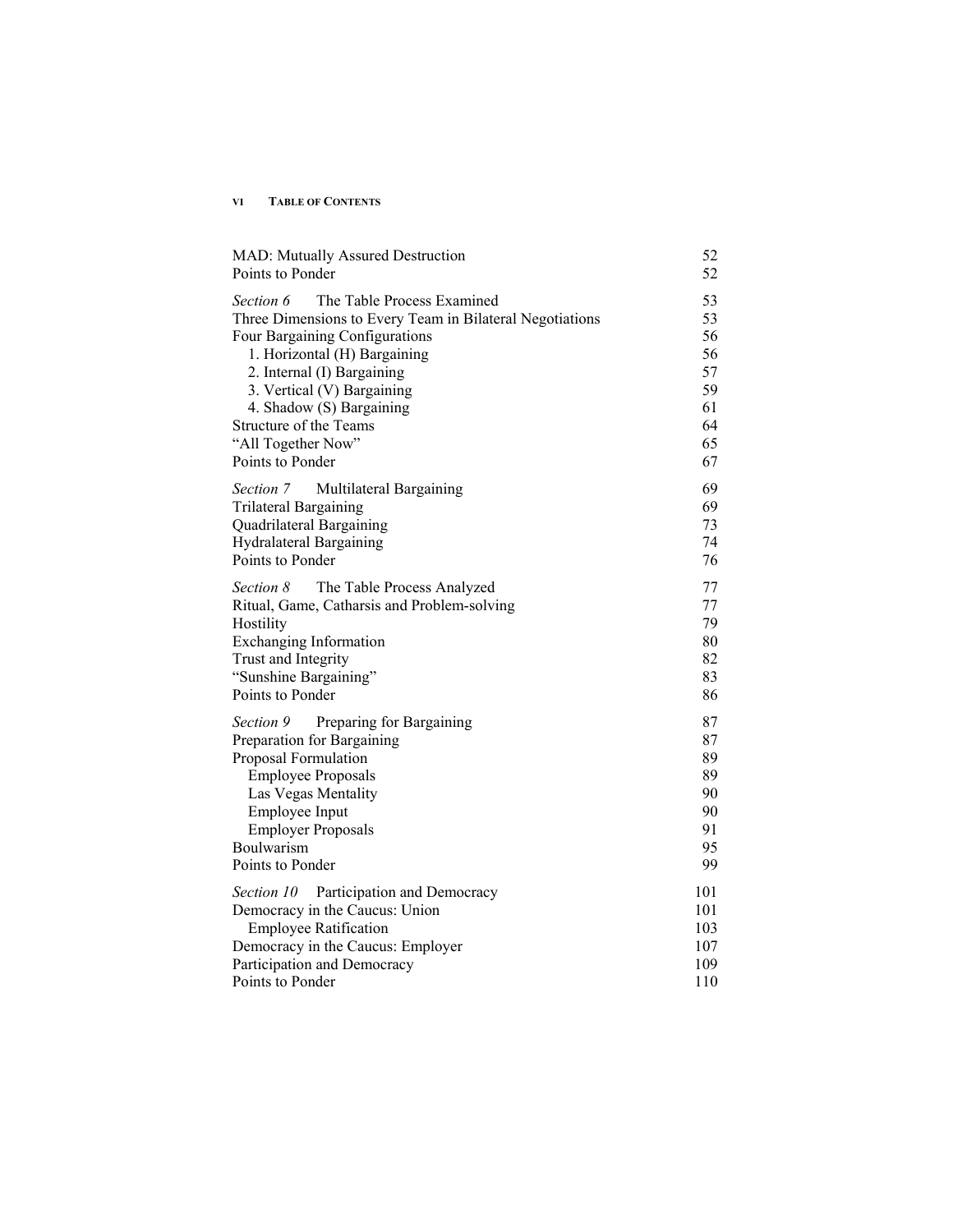#### **VI TABLE OF CONTENTS**

| <b>MAD: Mutually Assured Destruction</b><br>Points to Ponder                                                                                                                                                                                                                                                                      | 52<br>52                                                 |
|-----------------------------------------------------------------------------------------------------------------------------------------------------------------------------------------------------------------------------------------------------------------------------------------------------------------------------------|----------------------------------------------------------|
| The Table Process Examined<br>Section 6<br>Three Dimensions to Every Team in Bilateral Negotiations<br>Four Bargaining Configurations<br>1. Horizontal (H) Bargaining<br>2. Internal (I) Bargaining<br>3. Vertical (V) Bargaining<br>4. Shadow (S) Bargaining<br>Structure of the Teams<br>"All Together Now"<br>Points to Ponder | 53<br>53<br>56<br>56<br>57<br>59<br>61<br>64<br>65<br>67 |
| Section 7<br>Multilateral Bargaining<br><b>Trilateral Bargaining</b><br>Quadrilateral Bargaining<br><b>Hydralateral Bargaining</b><br>Points to Ponder                                                                                                                                                                            | 69<br>69<br>73<br>74<br>76                               |
| Section 8<br>The Table Process Analyzed<br>Ritual, Game, Catharsis and Problem-solving<br>Hostility<br><b>Exchanging Information</b><br>Trust and Integrity<br>"Sunshine Bargaining"<br>Points to Ponder                                                                                                                          | 77<br>77<br>79<br>80<br>82<br>83<br>86                   |
| Preparing for Bargaining<br>Section 9<br>Preparation for Bargaining<br>Proposal Formulation<br><b>Employee Proposals</b><br>Las Vegas Mentality<br>Employee Input<br><b>Employer Proposals</b><br>Boulwarism<br>Points to Ponder                                                                                                  | 87<br>87<br>89<br>89<br>90<br>90<br>91<br>95<br>99       |
| Section 10 Participation and Democracy<br>Democracy in the Caucus: Union<br><b>Employee Ratification</b><br>Democracy in the Caucus: Employer<br>Participation and Democracy<br>Points to Ponder                                                                                                                                  | 101<br>101<br>103<br>107<br>109<br>110                   |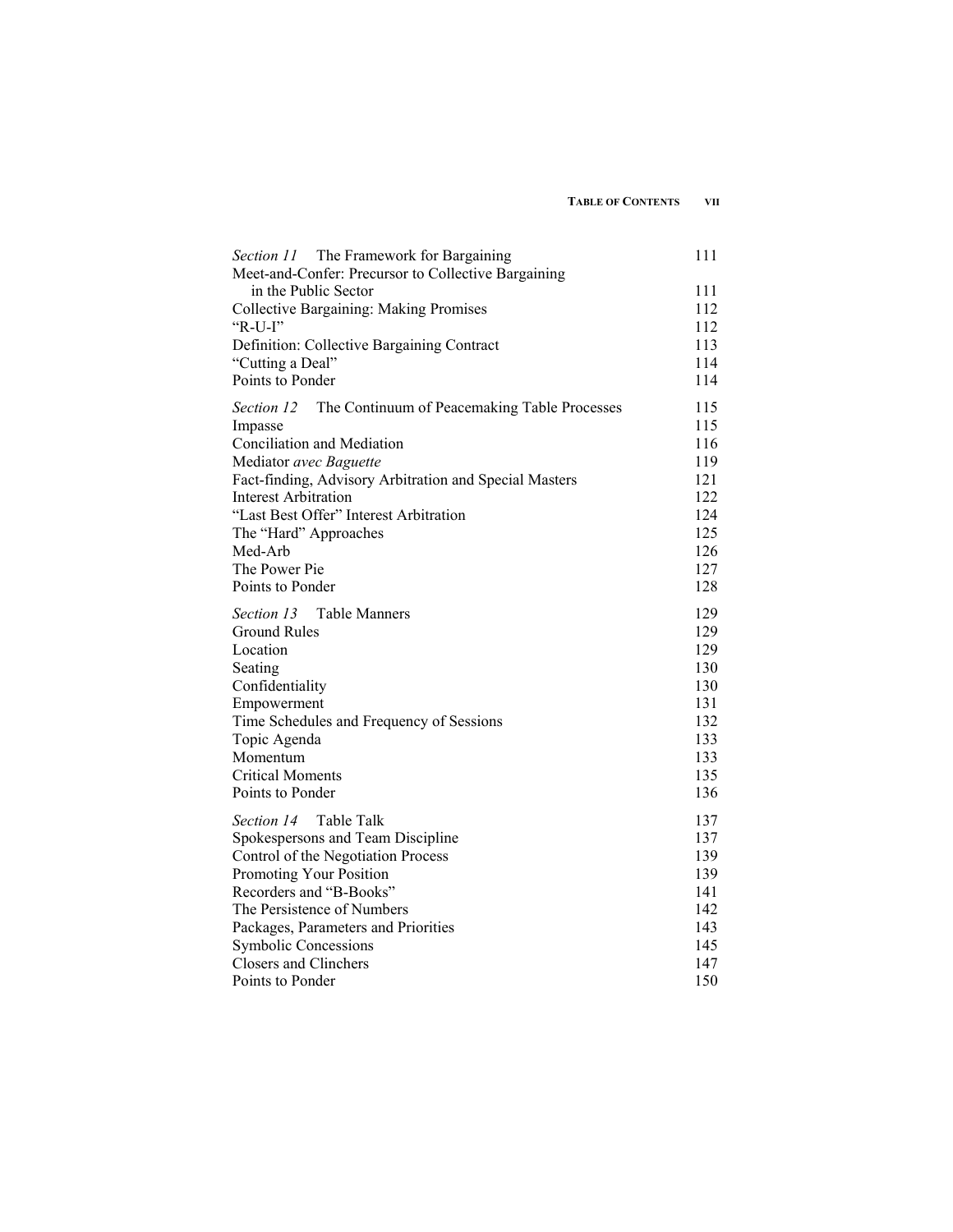| Section 11 The Framework for Bargaining<br>Meet-and-Confer: Precursor to Collective Bargaining | 111 |
|------------------------------------------------------------------------------------------------|-----|
| in the Public Sector                                                                           | 111 |
| <b>Collective Bargaining: Making Promises</b>                                                  | 112 |
| " $R-U-I$ "                                                                                    | 112 |
| Definition: Collective Bargaining Contract                                                     | 113 |
| "Cutting a Deal"                                                                               | 114 |
| Points to Ponder                                                                               | 114 |
| Section 12<br>The Continuum of Peacemaking Table Processes                                     | 115 |
| Impasse                                                                                        | 115 |
| Conciliation and Mediation                                                                     | 116 |
| Mediator avec Baguette                                                                         | 119 |
| Fact-finding, Advisory Arbitration and Special Masters                                         | 121 |
| <b>Interest Arbitration</b>                                                                    | 122 |
| "Last Best Offer" Interest Arbitration                                                         | 124 |
| The "Hard" Approaches                                                                          | 125 |
| Med-Arb                                                                                        | 126 |
| The Power Pie                                                                                  | 127 |
| Points to Ponder                                                                               | 128 |
| Section 13<br><b>Table Manners</b>                                                             | 129 |
| Ground Rules                                                                                   | 129 |
| Location                                                                                       | 129 |
| Seating                                                                                        | 130 |
| Confidentiality                                                                                | 130 |
| Empowerment                                                                                    | 131 |
| Time Schedules and Frequency of Sessions                                                       | 132 |
| Topic Agenda                                                                                   | 133 |
| Momentum                                                                                       | 133 |
| <b>Critical Moments</b>                                                                        | 135 |
| Points to Ponder                                                                               | 136 |
| Table Talk<br>Section 14                                                                       | 137 |
| Spokespersons and Team Discipline                                                              | 137 |
| Control of the Negotiation Process                                                             | 139 |
| Promoting Your Position                                                                        | 139 |
| Recorders and "B-Books"                                                                        | 141 |
| The Persistence of Numbers                                                                     | 142 |
| Packages, Parameters and Priorities                                                            | 143 |
| <b>Symbolic Concessions</b>                                                                    | 145 |
| <b>Closers and Clinchers</b>                                                                   | 147 |
| Points to Ponder                                                                               | 150 |